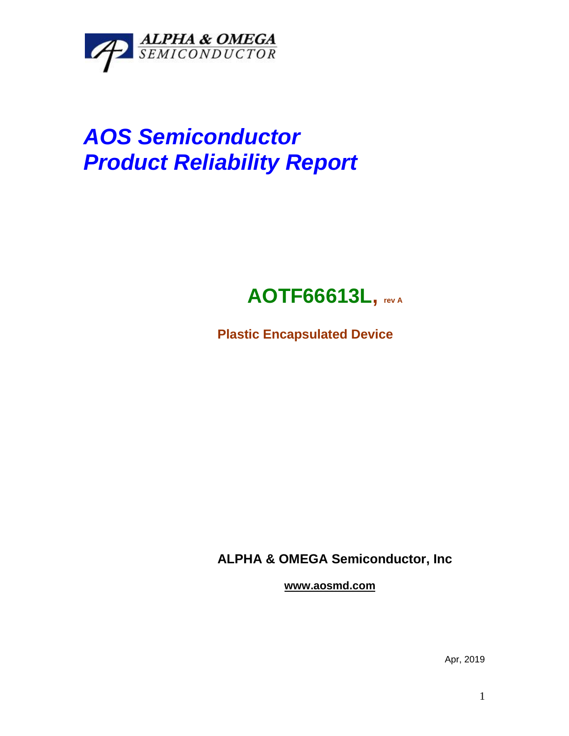

# *AOS Semiconductor Product Reliability Report*

# **AOTF66613L, rev <sup>A</sup>**

**Plastic Encapsulated Device**

**ALPHA & OMEGA Semiconductor, Inc**

**www.aosmd.com**

Apr, 2019